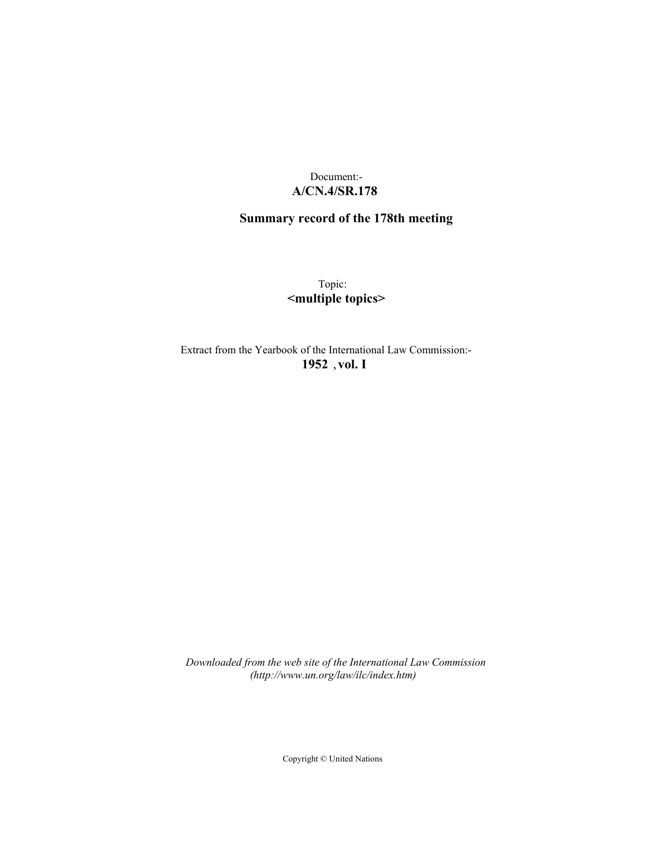## Document:- **A/CN.4/SR.178**

# **Summary record of the 178th meeting**

Topic: **<multiple topics>**

Extract from the Yearbook of the International Law Commission:- **1952** ,**vol. I**

*Downloaded from the web site of the International Law Commission (http://www.un.org/law/ilc/index.htm)*

Copyright © United Nations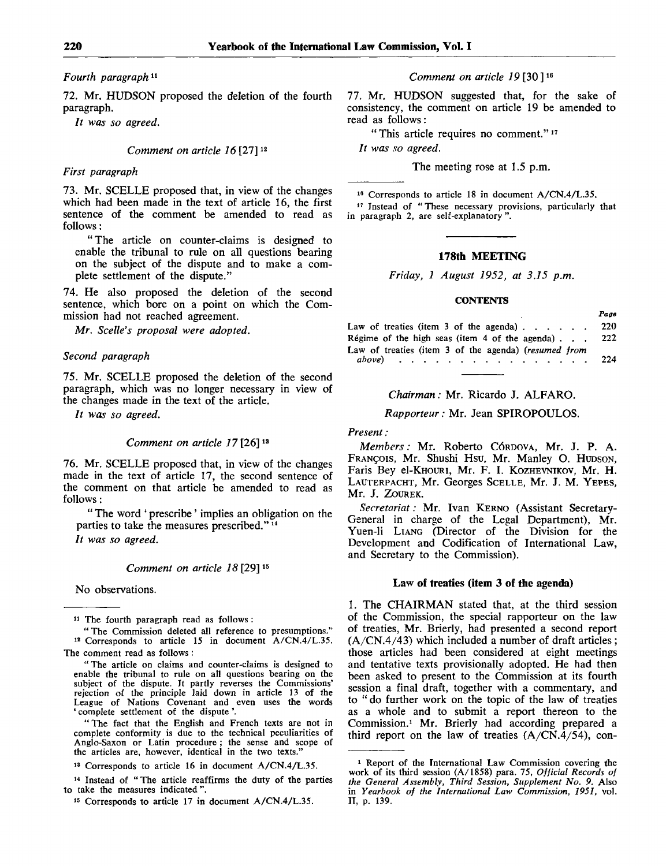*Fourth paragraph<sup>11</sup>*

72. Mr. HUDSON proposed the deletion of the fourth paragraph.

*It was so agreed.*

#### *Comment on article 16* [27]<sup>12</sup>

#### *First paragraph*

73. Mr. SCELLE proposed that, in view of the changes which had been made in the text of article 16, the first sentence of the comment be amended to read as follows:

"The article on counter-claims is designed to enable the tribunal to rule on all questions bearing on the subject of the dispute and to make a complete settlement of the dispute."

74. He also proposed the deletion of the second sentence, which bore on a point on which the Commission had not reached agreement.

*Mr. Scelle's proposal were adopted.*

#### *Second paragraph*

75. Mr. SCELLE proposed the deletion of the second paragraph, which was no longer necessary in view of the changes made in the text of the article.

*It was so agreed.*

#### *Comment on article 17* [26]<sup>13</sup>

76. Mr. SCELLE proposed that, in view of the changes made in the text of article 17, the second sentence of the comment on that article be amended to read as follows:

" The word ' prescribe' implies an obligation on the parties to take the measures prescribed."<sup>14</sup>

*It was so agreed.*

#### *Comment on article 18* [29]<sup>15</sup>

No observations.

11 The fourth paragraph read as follows :

" The Commission deleted all reference to presumptions." 12 Corresponds to article 15 in document A/CN.4/L.35. The comment read as follows :

"The article on claims and counter-claims is designed to enable the tribunal to rule on all questions bearing on the subject of the dispute. It partly reverses the Commissions' rejection of the principle laid down in article 13 of the League of Nations Covenant and even uses the words ' complete settlement of the dispute'.

" The fact that the English and French texts are not in complete conformity is due to the technical peculiarities of Anglo-Saxon or Latin procedure ; the sense and scope of the articles are, however, identical in the two texts."

13 Corresponds to article 16 in document A/CN.4/L.35.

14 Instead of "The article reaffirms the duty of the parties to take the measures indicated ".

15 Corresponds to article 17 in document A/CN.4/L.35.

*Comment on article 19* [30]<sup>16</sup>

77. Mr. HUDSON suggested that, for the sake of consistency, the comment on article 19 be amended to read as follows:

"This article requires no comment."<sup>17</sup>

*It was so agreed.*

The meeting rose at 1.5 p.m.

16 Corresponds to article 18 in document A/CN.4/L.35.

17 Instead of " These necessary provisions, particularly that in paragraph 2, are self-explanatory ".

#### **178th MEETING**

*Friday, 1 August 1952, at 3.15 p.m.*

#### **CONTENTS**

*Page*

|                                                              | ---- |
|--------------------------------------------------------------|------|
| Law of treaties (item 3 of the agenda) $\ldots$              | 220  |
| Régime of the high seas (item $4$ of the agenda)             | 222  |
| Law of treaties (item 3 of the agenda) (resumed from         |      |
| above) $\cdots$ $\cdots$ $\cdots$ $\cdots$ $\cdots$ $\cdots$ | 224  |

#### *Chairman:* Mr. Ricardo J. ALFARO.

*Rapporteur:* Mr. Jean SPIROPOULOS.

#### *Present:*

*Members:* Mr. Roberto CORDOVA, Mr. J. P. A. FRANgois, Mr. Shushi Hsu, Mr. Manley O. HUDSON, Faris Bey el-KHOURi, Mr. F. I. KOZHEVNIKOV, Mr. H. LAUTERPACHT, Mr. Georges SCELLE, Mr. J. M. YEPES, Mr. J. ZOUREK.

*Secretariat:* Mr. Ivan KERNO (Assistant Secretary-General in charge of the Legal Department), Mr. Yuen-li LIANG (Director of the Division for the Development and Codification of International Law, and Secretary to the Commission).

#### **Law of treaties (item 3 of the agenda)**

1. The CHAIRMAN stated that, at the third session of the Commission, the special rapporteur on the law of treaties, Mr. Brierly, had presented a second report  $(A/CN.4/43)$  which included a number of draft articles; those articles had been considered at eight meetings and tentative texts provisionally adopted. He had then been asked to present to the Commission at its fourth session a final draft, together with a commentary, and to " do further work on the topic of the law of treaties as a whole and to submit a report thereon to the Commission.<sup>1</sup> Mr. Brierly had according prepared a third report on the law of treaties  $(A/CN.4/54)$ , con-

<sup>&</sup>lt;sup>1</sup> Report of the International Law Commission covering the work of its third session (A/1858) para. 75, *Official Records of the General Assembly, Third Session, Supplement No. 9.* Also in *Yearbook of the International Law Commission, 1951,* vol. II, p. 139..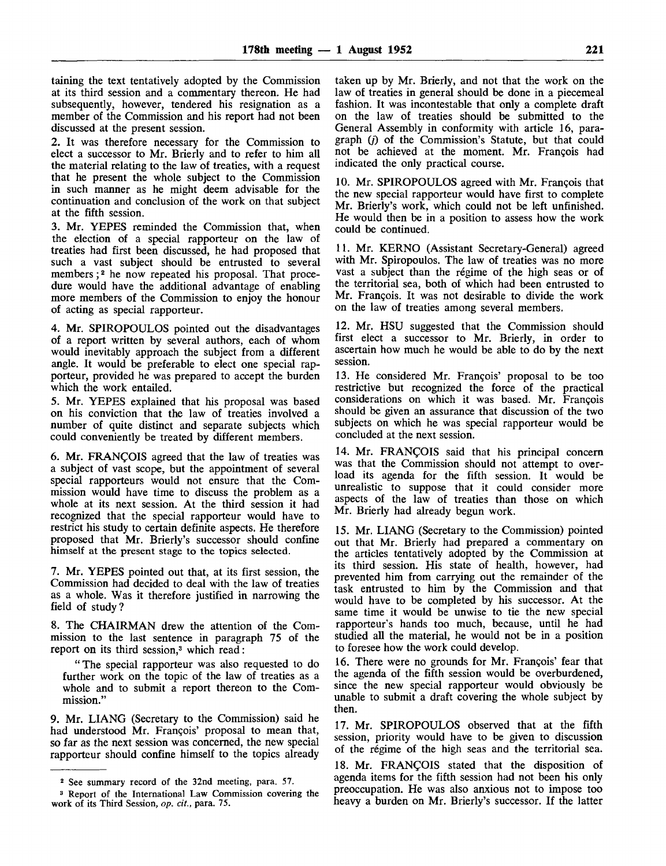taining the text tentatively adopted by the Commission at its third session and a commentary thereon. He had subsequently, however, tendered his resignation as a member of the Commission and his report had not been discussed at the present session.

2. It was therefore necessary for the Commission to elect a successor to Mr. Brierly and to refer to him all the material relating to the law of treaties, with a request that he present the whole subject to the Commission in such manner as he might deem advisable for the continuation and conclusion of the work on that subject at the fifth session.

3. Mr. YEPES reminded the Commission that, when the election of a special rapporteur on the law of treaties had first been discussed, he had proposed that such a vast subject should be entrusted to several members;<sup>2</sup> he now repeated his proposal. That procedure would have the additional advantage of enabling more members of the Commission to enjoy the honour of acting as special rapporteur.

4. Mr. SPIROPOULOS pointed out the disadvantages of a report written by several authors, each of whom would inevitably approach the subject from a different angle. It would be preferable to elect one special rapporteur, provided he was prepared to accept the burden which the work entailed.

5. Mr. YEPES explained that his proposal was based on his conviction that the law of treaties involved a number of quite distinct and separate subjects which could conveniently be treated by different members.

6. Mr. FRANCOIS agreed that the law of treaties was a subject of vast scope, but the appointment of several special rapporteurs would not ensure that the Commission would have time to discuss the problem as a whole at its next session. At the third session it had recognized that the special rapporteur would have to restrict his study to certain definite aspects. He therefore proposed that Mr. Brierly's successor should confine himself at the present stage to the topics selected.

7. Mr. YEPES pointed out that, at its first session, the Commission had decided to deal with the law of treaties as a whole. Was it therefore justified in narrowing the field of study?

8. The CHAIRMAN drew the attention of the Commission to the last sentence in paragraph 75 of the report on its third session,<sup>3</sup> which read:

"The special rapporteur was also requested to do further work on the topic of the law of treaties as a whole and to submit a report thereon to the Commission."

9. Mr. LIANG (Secretary to the Commission) said he had understood Mr. Francois' proposal to mean that, so far as the next session was concerned, the new special rapporteur should confine himself to the topics already taken up by Mr. Brierly, and not that the work on the law of treaties in general should be done in a piecemeal fashion. It was incontestable that only a complete draft on the law of treaties should be submitted to the General Assembly in conformity with article 16, paragraph  $(i)$  of the Commission's Statute, but that could not be achieved at the moment. Mr. Frangois had indicated the only practical course.

10. Mr. SPIROPOULOS agreed with Mr. François that the new special rapporteur would have first to complete Mr. Brierly's work, which could not be left unfinished. He would then be in a position to assess how the work could be continued.

11. Mr. KERNO (Assistant Secretary-General) agreed with Mr. Spiropoulos. The law of treaties was no more vast a subject than the régime of the high seas or of the territorial sea, both of which had been entrusted to Mr. François. It was not desirable to divide the work on the law of treaties among several members.

12. Mr. HSU suggested that the Commission should first elect a successor to Mr. Brierly, in order to ascertain how much he would be able to do by the next session.

13. He considered Mr. Francois' proposal to be too restrictive but recognized the force of the practical considerations on which it was based. Mr. François should be given an assurance that discussion of the two subjects on which he was special rapporteur would be concluded at the next session.

14. Mr. FRANÇOIS said that his principal concern was that the Commission should not attempt to overload its agenda for the fifth session. It would be unrealistic to suppose that it could consider more aspects of the law of treaties than those on which Mr. Brierly had already begun work.

15. Mr. LIANG (Secretary to the Commission) pointed out that Mr. Brierly had prepared a commentary on the articles tentatively adopted by the Commission at its third session. His state of health, however, had prevented him from carrying out the remainder of the task entrusted to him by the Commission and that would have to be completed by his successor. At the same time it would be unwise to tie the new special rapporteur's hands too much, because, until he had studied all the material, he would not be in a position to foresee how the work could develop.

16. There were no grounds for Mr. Francois' fear that the agenda of the fifth session would be overburdened, since the new special rapporteur would obviously be unable to submit a draft covering the whole subject by then.

17. Mr. SPIROPOULOS observed that at the fifth session, priority would have to be given to discussion of the regime of the high seas and the territorial sea.

18. Mr. FRANCOIS stated that the disposition of agenda items for the fifth session had not been his only preoccupation. He was also anxious not to impose too heavy a burden on Mr. Brierly's successor. If the latter

<sup>2</sup> See summary record of the 32nd meeting, para. 57.

<sup>3</sup> Report of the International Law Commission covering the work of its Third Session, *op. cit.,* para. 75.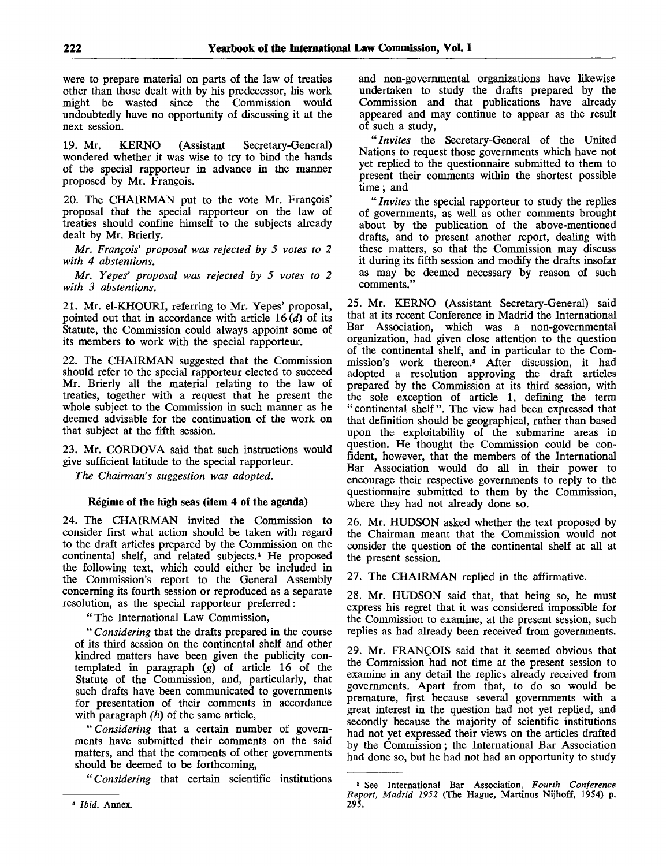were to prepare material on parts of the law of treaties other than those dealt with by his predecessor, his work might be wasted since the Commission would undoubtedly have no opportunity of discussing it at the next session.

19. Mr. KERNO (Assistant Secretary-General) wondered whether it was wise to try to bind the hands of the special rapporteur in advance in the manner proposed by Mr. François.

20. The CHAIRMAN put to the vote Mr. Francois' proposal that the special rapporteur on the law of treaties should confine himself to the subjects already dealt by Mr. Brierly.

*Mr. Francois' proposal was rejected by 5 votes to 2 with 4 abstentions.*

*Mr. Yepes' proposal was rejected by 5 votes to 2 with 3 abstentions.*

21. Mr. el-KHOURI, referring to Mr. Yepes' proposal, pointed out that in accordance with article  $16(d)$  of its Statute, the Commission could always appoint some of its members to work with the special rapporteur.

22. The CHAIRMAN suggested that the Commission should refer to the special rapporteur elected to succeed Mr. Brierly all the material relating to the law of treaties, together with a request that he present the whole subject to the Commission in such manner as he deemed advisable for the continuation of the work on that subject at the fifth session.

23. Mr. CORDOVA said that such instructions would give sufficient latitude to the special rapporteur.

*The Chairman's suggestion was adopted.*

## **Regime of the high** seas **(item 4 of the agenda)**

24. The CHAIRMAN invited the Commission to consider first what action should be taken with regard to the draft articles prepared by the Commission on the continental shelf, and related subjects.<sup>4</sup> He proposed the following text, which could either be included in the Commission's report to the General Assembly concerning its fourth session or reproduced as a separate resolution, as the special rapporteur preferred:

"The International Law Commission,

" *Considering* that the drafts prepared in the course of its third session on the continental shelf and other kindred matters have been given the publicity contemplated in paragraph *(g)* of article 16 of the Statute of the Commission, and, particularly, that such drafts have been communicated to governments for presentation of their comments in accordance with paragraph *(h)* of the same article,

" *Considering* that a certain number of governments have submitted their comments on the said matters, and that the comments of other governments should be deemed to be forthcoming,

*"Considering* that certain scientific institutions

and non-governmental organizations have likewise undertaken to study the drafts prepared by the Commission and that publications have already appeared and may continue to appear as the result of such a study,

" *Invites* the Secretary-General of the United Nations to request those governments which have not yet replied to the questionnaire submitted to them to present their comments within the shortest possible time; and

" *Invites* the special rapporteur to study the replies of governments, as well as other comments brought about by the publication of the above-mentioned drafts, and to present another report, dealing with these matters, so that the Commission may discuss it during its fifth session and modify the drafts insofar as may be deemed necessary by reason of such comments."

25. Mr. KERNO (Assistant Secretary-General) said that at its recent Conference in Madrid the International Bar Association, which was a non-governmental organization, had given close attention to the question of the continental shelf, and in particular to the Commission's work thereon.<sup>5</sup> After discussion, it had adopted a resolution approving the draft articles prepared by the Commission at its third session, with the sole exception of article 1, defining the term "continental shelf". The view had been expressed that that definition should be geographical, rather than based upon the exploitability of the submarine areas in question. He thought the Commission could be confident, however, that the members of the International Bar Association would do all in their power to encourage their respective governments to reply to the questionnaire submitted to them by the Commission, where they had not already done so.

26. Mr. HUDSON asked whether the text proposed by the Chairman meant that the Commission would not consider the question of the continental shelf at all at the present session.

27. The CHAIRMAN replied in the affirmative.

28. Mr. HUDSON said that, that being so, he must express his regret that it was considered impossible for the Commission to examine, at the present session, such replies as had already been received from governments.

29. Mr. FRANCOIS said that it seemed obvious that the Commission had not time at the present session to examine in any detail the replies already received from governments. Apart from that, to do so would be premature, first because several governments with a great interest in the question had not yet replied, and secondly because the majority of scientific institutions had not yet expressed their views on the articles drafted by the Commission; the International Bar Association had done so, but he had not had an opportunity to study

<sup>4</sup>  *Ibid.* Annex.

<sup>5</sup> See International Bar Association, *Fourth Conference Report, Madrid 1952* (The Hague, Martinus Nijhoff, 1954) p. 295.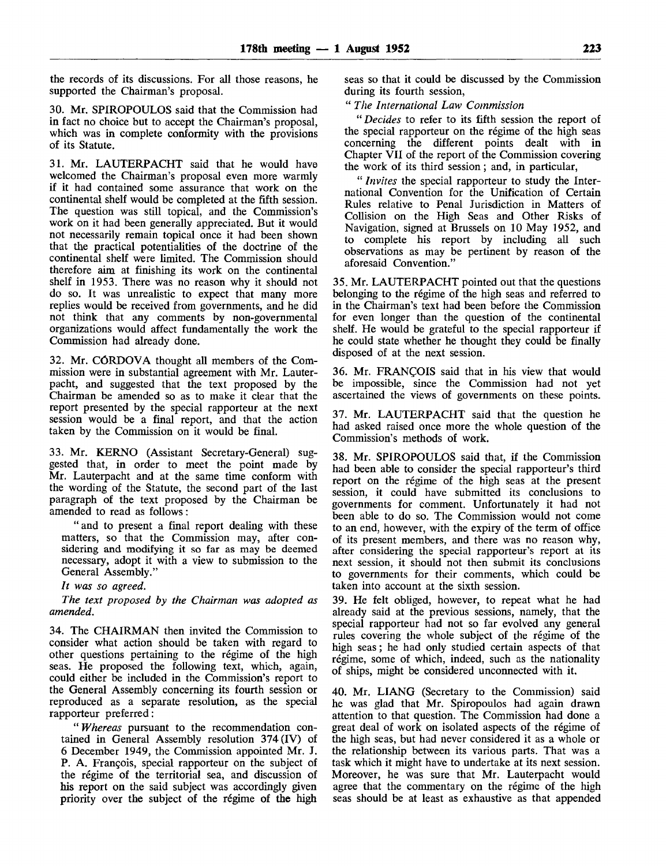the records of its discussions. For all those reasons, he supported the Chairman's proposal.

30. Mr. SPIROPOULOS said that the Commission had in fact no choice but to accept the Chairman's proposal, which was in complete conformity with the provisions of its Statute.

31. Mr. LAUTERPACHT said that he would have welcomed the Chairman's proposal even more warmly if it had contained some assurance that work on the continental shelf would be completed at the fifth session. The question was still topical, and the Commission's work on it had been generally appreciated. But it would not necessarily remain topical once it had been shown that the practical potentialities of the doctrine of the continental shelf were limited. The Commission should therefore aim at finishing its work on the continental shelf in 1953. There was no reason why it should not do so. It was unrealistic to expect that many more replies would be received from governments, and he did not think that any comments by non-governmental organizations would affect fundamentally the work the Commission had already done.

32. Mr. CORDOVA thought all members of the Commission were in substantial agreement with Mr. Lauterpacht, and suggested that the text proposed by the Chairman be amended so as to make it clear that the report presented by the special rapporteur at the next session would be a final report, and that the action taken by the Commission on it would be final.

33. Mr. KERNO (Assistant Secretary-General) suggested that, in order to meet the point made by Mr. Lauterpacht and at the same time conform with the wording of the Statute, the second part of the last paragraph of the text proposed by the Chairman be amended to read as follows:

"and to present a final report dealing with these matters, so that the Commission may, after considering and modifying it so far as may be deemed necessary, adopt it with a view to submission to the General Assembly."

*It was so agreed.*

*The text proposed by the Chairman was adopted as amended.*

34. The CHAIRMAN then invited the Commission to consider what action should be taken with regard to other questions pertaining to the régime of the high seas. He proposed the following text, which, again, could either be included in the Commission's report to the General Assembly concerning its fourth session or reproduced as a separate resolution, as the special rapporteur preferred:

" *Whereas* pursuant to the recommendation contained in General Assembly resolution 374 (IV) of 6 December 1949, the Commission appointed Mr. J. P. A. Francois, special rapporteur on the subject of the régime of the territorial sea, and discussion of his report on the said subject was accordingly given priority over the subject of the regime of the high seas so that it could be discussed by the Commission during its fourth session,

" *The International Law Commission*

*"Decides* to refer to its fifth session the report of the special rapporteur on the regime of the high seas concerning the different points dealt with in Chapter VII of the report of the Commission covering the work of its third session; and, in particular,

" *Invites* the special rapporteur to study the International Convention for the Unification of Certain Rules relative to Penal Jurisdiction in Matters of Collision on the High Seas and Other Risks of Navigation, signed at Brussels on 10 May 1952, and to complete his report by including all such observations as may be pertinent by reason of the aforesaid Convention."

35. Mr. LAUTERPACHT pointed out that the questions belonging to the regime of the high seas and referred to in the Chairman's text had been before the Commission for even longer than the question of the continental shelf. He would be grateful to the special rapporteur if he could state whether he thought they could be finally disposed of at the next session.

36. Mr. FRANCOIS said that in his view that would be impossible, since the Commission had not yet ascertained the views of governments on these points.

37. Mr. LAUTERPACHT said that the question he had asked raised once more the whole question of the Commission's methods of work.

38. Mr. SPIROPOULOS said that, if the Commission had been able to consider the special rapporteur's third report on the regime of the high seas at the present session, it could have submitted its conclusions to governments for comment. Unfortunately it had not been able to do so. The Commission would not come to an end, however, with the expiry of the term of office of its present members, and there was no reason why, after considering the special rapporteur's report at its next session, it should not then submit its conclusions to governments for their comments, which could be taken into account at the sixth session.

39. He felt obliged, however, to repeat what he had already said at the previous sessions, namely, that the special rapporteur had not so far evolved any general rules covering the whole subject of the regime of the high seas; he had only studied certain aspects of that régime, some of which, indeed, such as the nationality of ships, might be considered unconnected with it.

40. Mr. LIANG (Secretary to the Commission) said he was glad that Mr. Spiropoulos had again drawn attention to that question. The Commission had done a great deal of work on isolated aspects of the regime of the high seas, but had never considered it as a whole or the relationship between its various parts. That was a task which it might have to undertake at its next session. Moreover, he was sure that Mr. Lauterpacht would agree that the commentary on the régime of the high seas should be at least as exhaustive as that appended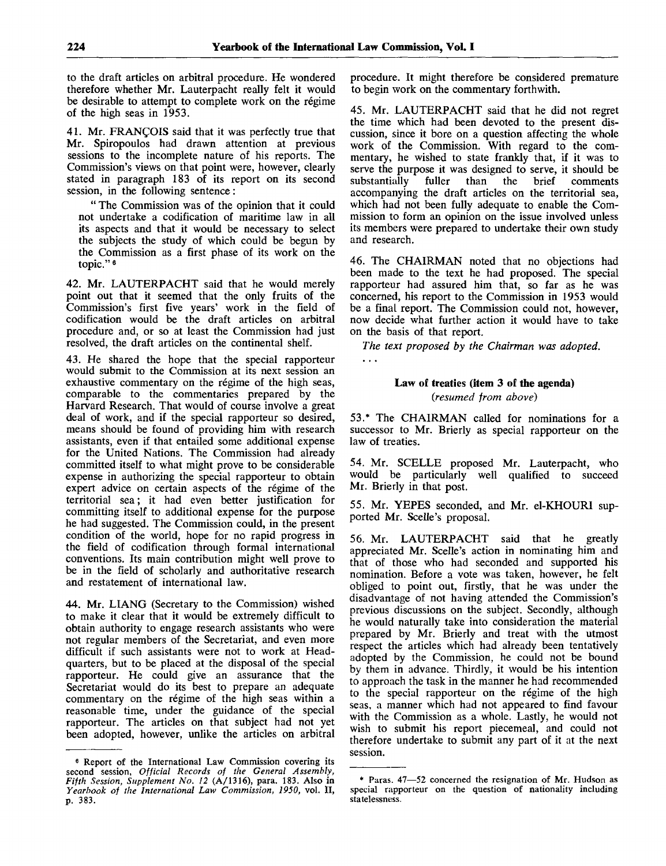$\ddotsc$ 

to the draft articles on arbitral procedure. He wondered therefore whether Mr. Lauterpacht really felt it would be desirable to attempt to complete work on the regime of the high seas in 1953.

41. Mr. FRANCOIS said that it was perfectly true that Mr. Spiropoulos had drawn attention at previous sessions to the incomplete nature of his reports. The Commission's views on that point were, however, clearly stated in paragraph 183 of its report on its second session, in the following sentence:

" The Commission was of the opinion that it could not undertake a codification of maritime law in all its aspects and that it would be necessary to select the subjects the study of which could be begun by the Commission as a first phase of its work on the topic."<sup>6</sup>

42. Mr. LAUTERPACHT said that he would merely point out that it seemed that the only fruits of the Commission's first five years' work in the field of codification would be the draft articles on arbitral procedure and, or so at least the Commission had just resolved, the draft articles on the continental shelf.

43. He shared the hope that the special rapporteur would submit to the Commission at its next session an exhaustive commentary on the régime of the high seas, comparable to the commentaries prepared by the Harvard Research. That would of course involve a great deal of work, and if the special rapporteur so desired, means should be found of providing him with research assistants, even if that entailed some additional expense for the United Nations. The Commission had already committed itself to what might prove to be considerable expense in authorizing the special rapporteur to obtain expert advice on certain aspects of the régime of the territorial sea; it had even better justification for committing itself to additional expense for the purpose he had suggested. The Commission could, in the present condition of the world, hope for no rapid progress in the field of codification through formal international conventions. Its main contribution might well prove to be in the field of scholarly and authoritative research and restatement of international law.

44. Mr. LIANG (Secretary to the Commission) wished to make it clear that it would be extremely difficult to obtain authority to engage research assistants who were not regular members of the Secretariat, and even more difficult if such assistants were not to work at Headquarters, but to be placed at the disposal of the special rapporteur. He could give an assurance that the Secretariat would do its best to prepare an adequate commentary on the régime of the high seas within a reasonable time, under the guidance of the special rapporteur. The articles on that subject had not yet been adopted, however, unlike the articles on arbitral procedure. It might therefore be considered premature to begin work on the commentary forthwith.

45. Mr. LAUTERPACHT said that he did not regret the time which had been devoted to the present discussion, since it bore on a question affecting the whole work of the Commission. With regard to the commentary, he wished to state frankly that, if it was to serve the purpose it was designed to serve, it should be substantially fuller than the brief comments substantially fuller than the brief comments accompanying the draft articles on the territorial sea, which had not been fully adequate to enable the Commission to form an opinion on the issue involved unless its members were prepared to undertake their own study and research.

46. The CHAIRMAN noted that no objections had been made to the text he had proposed. The special rapporteur had assured him that, so far as he was concerned, his report to the Commission in 1953 would be a final report. The Commission could not, however, now decide what further action it would have to take on the basis of that report.

*The text proposed by the Chairman was adopted.*

## **Law of treaties (item 3 of the agenda)** *{resumed from above)*

53.\* The CHAIRMAN called for nominations for a successor to Mr. Brierly as special rapporteur on the law of treaties.

54. Mr. SCELLE proposed Mr. Lauterpacht, who would be particularly well qualified to succeed Mr. Brierly in that post.

55. Mr. YEPES seconded, and Mr. el-KHOURI supported Mr. Scelle's proposal.

56. Mr. LAUTERPACHT said that he greatly appreciated Mr. Scelle's action in nominating him and that of those who had seconded and supported his nomination. Before a vote was taken, however, he felt obliged to point out, firstly, that he was under the disadvantage of not having attended the Commission's previous discussions on the subject. Secondly, although he would naturally take into consideration the material prepared by Mr. Brierly and treat with the utmost respect the articles which had already been tentatively adopted by the Commission, he could not be bound by them in advance. Thirdly, it would be his intention to approach the task in the manner he had recommended to the special rapporteur on the regime of the high seas, a manner which had not appeared to find favour with the Commission as a whole. Lastly, he would not wish to submit his report piecemeal, and could not therefore undertake to submit any part of it at the next session.

<sup>6</sup> Report of the International Law Commission covering its second session, *Official Records of the General Assembly, Fifth Session, Supplement No. 12* (A/1316), para. 183. Also in *Yearbook of the International Law Commission, 1950,* vol. II, p. 383.

<sup>\*</sup> Paras. 47—52 concerned the resignation of Mr. Hudson as special rapporteur on the question of nationality including statelessness.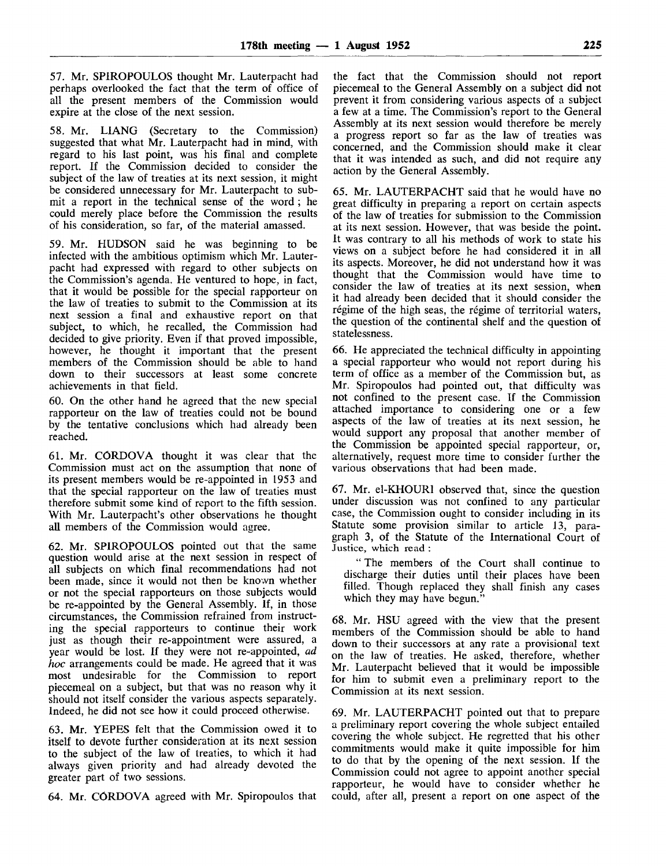57. Mr. SPIROPOULOS thought Mr. Lauterpacht had perhaps overlooked the fact that the term of office of all the present members of the Commission would expire at the close of the next session.

58. Mr. LIANG (Secretary to the Commission) suggested that what Mr. Lauterpacht had in mind, with regard to his last point, was his final and complete report. If the Commission decided to consider the subject of the law of treaties at its next session, it might be considered unnecessary for Mr. Lauterpacht to submit a report in the technical sense of the word ; he could merely place before the Commission the results of his consideration, so far, of the material amassed.

59. Mr. HUDSON said he was beginning to be infected with the ambitious optimism which Mr. Lauterpacht had expressed with regard to other subjects on the Commission's agenda. He ventured to hope, in fact, that it would be possible for the special rapporteur on the law of treaties to submit to the Commission at its next session a final and exhaustive report on that subject, to which, he recalled, the Commission had decided to give priority. Even if that proved impossible, however, he thought it important that the present members of the Commission should be able to hand down to their successors at least some concrete achievements in that field.

60. On the other hand he agreed that the new special rapporteur on the law of treaties could not be bound by the tentative conclusions which had already been reached.

61. Mr. CORDOVA thought it was clear that the Commission must act on the assumption that none of its present members would be re-appointed in 1953 and that the special rapporteur on the law of treaties must therefore submit some kind of report to the fifth session. With Mr. Lauterpacht's other observations he thought all members of the Commission would agree.

62. Mr. SPIROPOULOS pointed out that the same question would arise at the next session in respect of all subjects on which final recommendations had not been made, since it would not then be known whether or not the special rapporteurs on those subjects would be re-appointed by the General Assembly. If, in those circumstances, the Commission refrained from instructing the special rapporteurs to continue their work just as though their re-appointment were assured, a year would be lost. If they were not re-appointed, *ad hoc* arrangements could be made. He agreed that it was most undesirable for the Commission to report piecemeal on a subject, but that was no reason why it should not itself consider the various aspects separately. Indeed, he did not see how it could proceed otherwise.

63. Mr. YEPES felt that the Commission owed it to itself to devote further consideration at its next session to the subject of the law of treaties, to which it had always given priority and had already devoted the greater part of two sessions.

64. Mr. CORDOVA agreed with Mr. Spiropoulos that

the fact that the Commission should not report piecemeal to the General Assembly on a subject did not prevent it from considering various aspects of a subject a few at a time. The Commission's report to the General Assembly at its next session would therefore be merely a progress report so far as the law of treaties was concerned, and the Commission should make it clear that it was intended as such, and did not require any action by the General Assembly.

65. Mr. LAUTERPACHT said that he would have no great difficulty in preparing a report on certain aspects of the law of treaties for submission to the Commission at its next session. However, that was beside the point. It was contrary to all his methods of work to state his views on a subject before he had considered it in all its aspects. Moreover, he did not understand how it was thought that the Commission would have time to consider the law of treaties at its next session, when it had already been decided that it should consider the régime of the high seas, the régime of territorial waters, the question of the continental shelf and the question of statelessness.

66. He appreciated the technical difficulty in appointing a special rapporteur who would not report during his term of office as a member of the Commission but, as Mr. Spiropoulos had pointed out, that difficulty was not confined to the present case. If the Commission attached importance to considering one or a few aspects of the law of treaties at its next session, he would support any proposal that another member of the Commission be appointed special rapporteur, or, alternatively, request more time to consider further the various observations that had been made.

67. Mr. el-KHOURI observed that, since the question under discussion was not confined to any particular case, the Commission ought to consider including in its Statute some provision similar to article 13, paragraph 3, of the Statute of the International Court of Justice, which read :

" The members of the Court shall continue to discharge their duties until their places have been filled. Though replaced they shall finish any cases which they may have begun."

68. Mr. HSU agreed with the view that the present members of the Commission should be able to hand down to their successors at any rate a provisional text on the law of treaties. He asked, therefore, whether Mr. Lauterpacht believed that it would be impossible for him to submit even a preliminary report to the Commission at its next session.

69. Mr. LAUTERPACHT pointed out that to prepare a preliminary report covering the whole subject entailed covering the whole subject. He regretted that his other commitments would make it quite impossible for him to do that by the opening of the next session. If the Commission could not agree to appoint another special rapporteur, he would have to consider whether he could, after all, present a report on one aspect of the